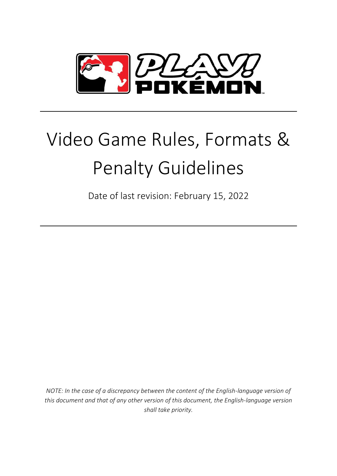

# Video Game Rules, Formats & Penalty Guidelines

Date of last revision: February 15, 2022

*NOTE: In the case of a discrepancy between the content of the English-language version of this document and that of any other version of this document, the English-language version shall take priority.*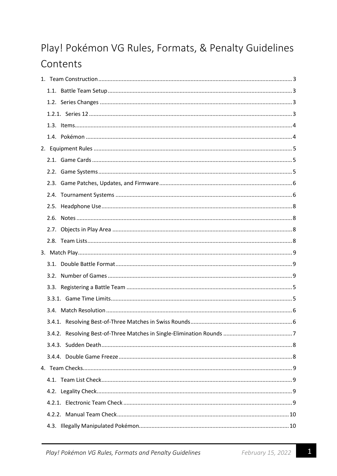# Play! Pokémon VG Rules, Formats, & Penalty Guidelines Contents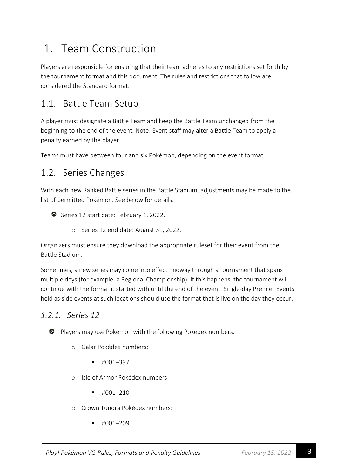# <span id="page-3-0"></span>1. Team Construction

Players are responsible for ensuring that their team adheres to any restrictions set forth by the tournament format and this document. The rules and restrictions that follow are considered the Standard format.

### <span id="page-3-1"></span>1.1. Battle Team Setup

A player must designate a Battle Team and keep the Battle Team unchanged from the beginning to the end of the event. Note: Event staff may alter a Battle Team to apply a penalty earned by the player.

Teams must have between four and six Pokémon, depending on the event format.

### <span id="page-3-2"></span>1.2. Series Changes

With each new Ranked Battle series in the Battle Stadium, adjustments may be made to the list of permitted Pokémon. See below for details.

- Series 12 start date: February 1, 2022.
	- o Series 12 end date: August 31, 2022.

Organizers must ensure they download the appropriate ruleset for their event from the Battle Stadium.

Sometimes, a new series may come into effect midway through a tournament that spans multiple days (for example, a Regional Championship). If this happens, the tournament will continue with the format it started with until the end of the event. Single-day Premier Events held as side events at such locations should use the format that is live on the day they occur.

#### <span id="page-3-3"></span>*1.2.1. Series 12*

Players may use Pokémon with the following Pokédex numbers.

- o Galar Pokédex numbers:
	- $\blacksquare$  #001–397
- o Isle of Armor Pokédex numbers:
	- $\blacksquare$  #001–210
- o Crown Tundra Pokédex numbers:
	- $\blacksquare$  #001–209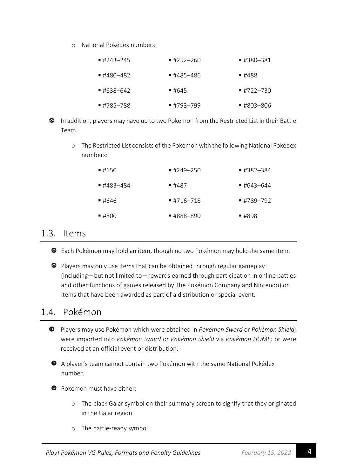o National Pokédex numbers:

| $\blacksquare$ #243-245 | ■ #252—260 | ■ #380–381              |
|-------------------------|------------|-------------------------|
| ■ #480–482              | ■ #485-486 | ■ #488                  |
| $\blacksquare$ #638–642 | ■ #645     | $\blacksquare$ #722-730 |
| ■ #785—788              | ■ #793—799 | ■ #803-806              |

- In addition, players may have up to two Pokémon from the Restricted List in their Battle Team.
	- o The Restricted List consists of the Pokémon with the following National Pokédex numbers:

| 14150      | $\blacksquare$ #249-250 | ■ #382—384              |
|------------|-------------------------|-------------------------|
| ■ #483–484 | ■ #487                  | $\blacksquare$ #643–644 |
| ■ #646     | $\blacksquare$ #716–718 | $\blacksquare$ #789-792 |
| $-4800$    | ■ #888—890              | ■ #898                  |

#### <span id="page-4-0"></span>1.3. Items

Each Pokémon may hold an item, though no two Pokémon may hold the same item.

**•** Players may only use items that can be obtained through regular gameplay (including—but not limited to—rewards earned through participation in online battles and other functions of games released by The Pokémon Company and Nintendo) or items that have been awarded as part of a distribution or special event.

# <span id="page-4-1"></span>1.4. Pokémon

- Players may use Pokémon which were obtained in *Pokémon Sword* or *Pokémon Shield;* were imported into *Pokémon Sword* or *Pokémon Shield* via *Pokémon HOME;* or were received at an official event or distribution.
- A player's team cannot contain two Pokémon with the same National Pokédex number.

**C** Pokémon must have either:

- o The black Galar symbol on their summary screen to signify that they originated in the Galar region
- o The battle-ready symbol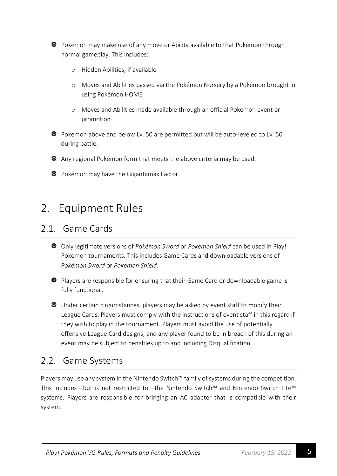

Pokémon may make use of any move or Ability available to that Pokémon through normal gameplay. This includes:

- o Hidden Abilities, if available
- o Moves and Abilities passed via the Pokémon Nursery by a Pokémon brought in using Pokémon HOME
- o Moves and Abilities made available through an official Pokémon event or promotion
- Pokémon above and below Lv. 50 are permitted but will be auto-leveled to Lv. 50 during battle.

Any regional Pokémon form that meets the above criteria may be used.

**•** Pokémon may have the Gigantamax Factor.

# <span id="page-5-0"></span>2. Equipment Rules

#### <span id="page-5-1"></span>2.1. Game Cards

- Only legitimate versions of *Pokémon Sword* or *Pokémon Shield* can be used in Play! Pokémon tournaments. This includes Game Cards and downloadable versions of *Pokémon Sword* or *Pokémon Shield*.
- Players are responsible for ensuring that their Game Card or downloadable game is fully functional.

Under certain circumstances, players may be asked by event staff to modify their League Cards. Players must comply with the instructions of event staff in this regard if they wish to play in the tournament. Players must avoid the use of potentially offensive League Card designs, and any player found to be in breach of this during an event may be subject to penalties up to and including Disqualification.

### <span id="page-5-2"></span>2.2. Game Systems

Players may use any system in the Nintendo Switch™ family of systems during the competition. This includes—but is not restricted to—the Nintendo Switch™ and Nintendo Switch Lite™ systems. Players are responsible for bringing an AC adapter that is compatible with their system.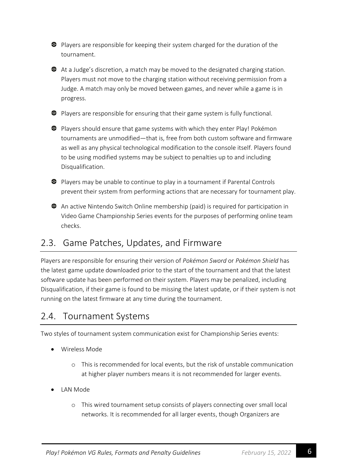**•** Players are responsible for keeping their system charged for the duration of the tournament.

At a Judge's discretion, a match may be moved to the designated charging station. Players must not move to the charging station without receiving permission from a Judge. A match may only be moved between games, and never while a game is in progress.

**•** Players are responsible for ensuring that their game system is fully functional.

**•** Players should ensure that game systems with which they enter Play! Pokémon tournaments are unmodified—that is, free from both custom software and firmware as well as any physical technological modification to the console itself. Players found to be using modified systems may be subject to penalties up to and including Disqualification.

Players may be unable to continue to play in a tournament if Parental Controls prevent their system from performing actions that are necessary for tournament play.

An active Nintendo Switch Online membership (paid) is required for participation in Video Game Championship Series events for the purposes of performing online team checks.

# <span id="page-6-0"></span>2.3. Game Patches, Updates, and Firmware

Players are responsible for ensuring their version of *Pokémon Sword* or *Pokémon Shield* has the latest game update downloaded prior to the start of the tournament and that the latest software update has been performed on their system. Players may be penalized, including Disqualification, if their game is found to be missing the latest update, or if their system is not running on the latest firmware at any time during the tournament.

### <span id="page-6-1"></span>2.4. Tournament Systems

Two styles of tournament system communication exist for Championship Series events:

- Wireless Mode
	- o This is recommended for local events, but the risk of unstable communication at higher player numbers means it is not recommended for larger events.
- LAN Mode
	- o This wired tournament setup consists of players connecting over small local networks. It is recommended for all larger events, though Organizers are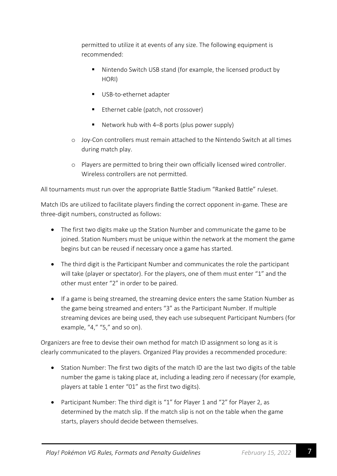permitted to utilize it at events of any size. The following equipment is recommended:

- Nintendo Switch USB stand (for example, the licensed product by HORI)
- USB-to-ethernet adapter
- Ethernet cable (patch, not crossover)
- **E** Network hub with 4–8 ports (plus power supply)
- o Joy-Con controllers must remain attached to the Nintendo Switch at all times during match play.
- o Players are permitted to bring their own officially licensed wired controller. Wireless controllers are not permitted.

All tournaments must run over the appropriate Battle Stadium "Ranked Battle" ruleset.

Match IDs are utilized to facilitate players finding the correct opponent in-game. These are three-digit numbers, constructed as follows:

- The first two digits make up the Station Number and communicate the game to be joined. Station Numbers must be unique within the network at the moment the game begins but can be reused if necessary once a game has started.
- The third digit is the Participant Number and communicates the role the participant will take (player or spectator). For the players, one of them must enter "1" and the other must enter "2" in order to be paired.
- If a game is being streamed, the streaming device enters the same Station Number as the game being streamed and enters "3" as the Participant Number. If multiple streaming devices are being used, they each use subsequent Participant Numbers (for example, "4," "5," and so on).

Organizers are free to devise their own method for match ID assignment so long as it is clearly communicated to the players. Organized Play provides a recommended procedure:

- Station Number: The first two digits of the match ID are the last two digits of the table number the game is taking place at, including a leading zero if necessary (for example, players at table 1 enter "01" as the first two digits).
- Participant Number: The third digit is "1" for Player 1 and "2" for Player 2, as determined by the match slip. If the match slip is not on the table when the game starts, players should decide between themselves.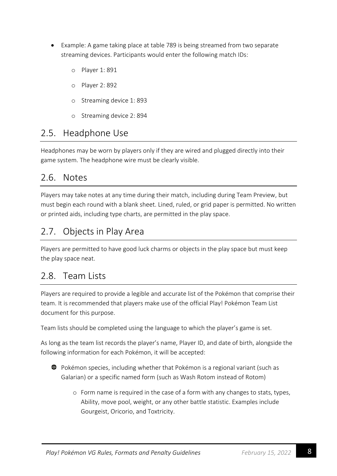- Example: A game taking place at table 789 is being streamed from two separate streaming devices. Participants would enter the following match IDs:
	- o Player 1: 891
	- o Player 2: 892
	- o Streaming device 1: 893
	- o Streaming device 2: 894

#### <span id="page-8-0"></span>2.5. Headphone Use

Headphones may be worn by players only if they are wired and plugged directly into their game system. The headphone wire must be clearly visible.

### <span id="page-8-1"></span>2.6. Notes

Players may take notes at any time during their match, including during Team Preview, but must begin each round with a blank sheet. Lined, ruled, or grid paper is permitted. No written or printed aids, including type charts, are permitted in the play space.

# <span id="page-8-2"></span>2.7. Objects in Play Area

Players are permitted to have good luck charms or objects in the play space but must keep the play space neat.

# <span id="page-8-3"></span>2.8. Team Lists

Players are required to provide a legible and accurate list of the Pokémon that comprise their team. It is recommended that players make use of the official Play! Pokémon Team List document for this purpose.

Team lists should be completed using the language to which the player's game is set.

As long as the team list records the player's name, Player ID, and date of birth, alongside the following information for each Pokémon, it will be accepted:



- Pokémon species, including whether that Pokémon is a regional variant (such as Galarian) or a specific named form (such as Wash Rotom instead of Rotom)
	- o Form name is required in the case of a form with any changes to stats, types, Ability, move pool, weight, or any other battle statistic. Examples include Gourgeist, Oricorio, and Toxtricity.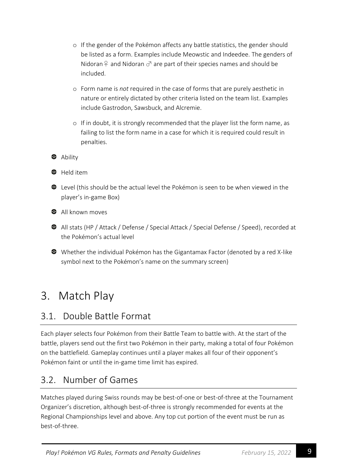- o If the gender of the Pokémon affects any battle statistics, the gender should be listed as a form. Examples include Meowstic and Indeedee. The genders of Nidoran  $\varphi$  and Nidoran  $\sigma$  are part of their species names and should be included.
- o Form name is *not* required in the case of forms that are purely aesthetic in nature or entirely dictated by other criteria listed on the team list. Examples include Gastrodon, Sawsbuck, and Alcremie.
- o If in doubt, it is strongly recommended that the player list the form name, as failing to list the form name in a case for which it is required could result in penalties.

**3** Ability



**C** Held item

Level (this should be the actual level the Pokémon is seen to be when viewed in the player's in-game Box)

**C** All known moves

- All stats (HP / Attack / Defense / Special Attack / Special Defense / Speed), recorded at the Pokémon's actual level
- Whether the individual Pokémon has the Gigantamax Factor (denoted by a red X-like symbol next to the Pokémon's name on the summary screen)

# <span id="page-9-0"></span>3. Match Play

# <span id="page-9-1"></span>3.1. Double Battle Format

Each player selects four Pokémon from their Battle Team to battle with. At the start of the battle, players send out the first two Pokémon in their party, making a total of four Pokémon on the battlefield. Gameplay continues until a player makes all four of their opponent's Pokémon faint or until the in-game time limit has expired.

# <span id="page-9-2"></span>3.2. Number of Games

Matches played during Swiss rounds may be best-of-one or best-of-three at the Tournament Organizer's discretion, although best-of-three is strongly recommended for events at the Regional Championships level and above. Any top cut portion of the event must be run as best-of-three.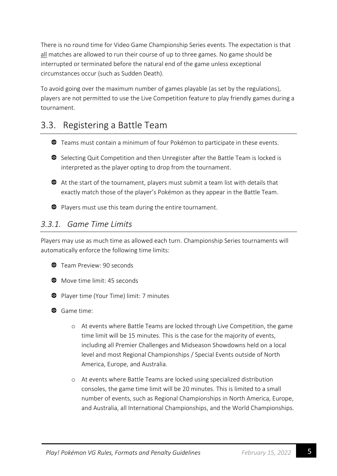There is no round time for Video Game Championship Series events. The expectation is that all matches are allowed to run their course of up to three games. No game should be interrupted or terminated before the natural end of the game unless exceptional circumstances occur (such as Sudden Death).

To avoid going over the maximum number of games playable (as set by the regulations), players are not permitted to use the Live Competition feature to play friendly games during a tournament.

# <span id="page-10-0"></span>3.3. Registering a Battle Team

- Teams must contain a minimum of four Pokémon to participate in these events.
- Selecting Quit Competition and then Unregister after the Battle Team is locked is interpreted as the player opting to drop from the tournament.
- At the start of the tournament, players must submit a team list with details that exactly match those of the player's Pokémon as they appear in the Battle Team.
- Players must use this team during the entire tournament.

#### <span id="page-10-1"></span>*3.3.1. Game Time Limits*

Players may use as much time as allowed each turn. Championship Series tournaments will automatically enforce the following time limits:

- **C** Team Preview: 90 seconds
- $\bullet$  Move time limit: 45 seconds
- **•** Player time (Your Time) limit: 7 minutes
- Game time:
	- o At events where Battle Teams are locked through Live Competition, the game time limit will be 15 minutes. This is the case for the majority of events, including all Premier Challenges and Midseason Showdowns held on a local level and most Regional Championships / Special Events outside of North America, Europe, and Australia.
	- o At events where Battle Teams are locked using specialized distribution consoles, the game time limit will be 20 minutes. This is limited to a small number of events, such as Regional Championships in North America, Europe, and Australia, all International Championships, and the World Championships.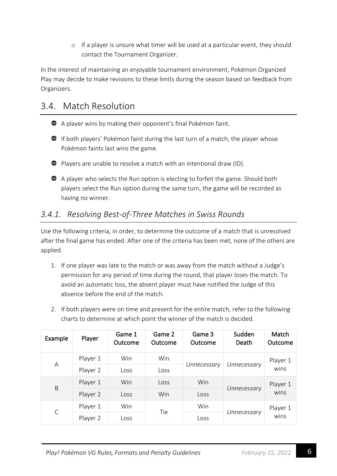o If a player is unsure what timer will be used at a particular event, they should contact the Tournament Organizer.

In the interest of maintaining an enjoyable tournament environment, Pokémon Organized Play may decide to make revisions to these limits during the season based on feedback from Organizers.

# <span id="page-11-0"></span>3.4. Match Resolution

- A player wins by making their opponent's final Pokémon faint.
- **•** If both players' Pokémon faint during the last turn of a match, the player whose Pokémon faints last wins the game.
- Players are unable to resolve a match with an intentional draw (ID).
- A player who selects the Run option is electing to forfeit the game. Should both players select the Run option during the same turn, the game will be recorded as having no winner.

### <span id="page-11-1"></span>*3.4.1. Resolving Best-of-Three Matches in Swiss Rounds*

Use the following criteria, in order, to determine the outcome of a match that is unresolved after the final game has ended. After one of the criteria has been met, none of the others are applied.

- 1. If one player was late to the match or was away from the match without a Judge's permission for any period of time during the round, that player loses the match. To avoid an automatic loss, the absent player must have notified the Judge of this absence before the end of the match.
- 2. If both players were on time and present for the entire match, refer to the following charts to determine at which point the winner of the match is decided.

| Example      | Player   | Game 1<br>Outcome | Game 2<br>Outcome | Game 3<br>Outcome | Sudden<br>Death | Match<br>Outcome |
|--------------|----------|-------------------|-------------------|-------------------|-----------------|------------------|
| Α            | Player 1 | Win               | Win               | Unnecessary       | Unnecessary     | Player 1         |
|              | Player 2 | Loss              | Loss              |                   |                 | wins             |
| B            | Player 1 | <b>Win</b>        | Loss              | Win               |                 | Player 1         |
|              | Player 2 | Loss              | Win               | Loss              | Unnecessary     | wins             |
| $\mathsf{C}$ | Player 1 | Win               | Tie               | Win               |                 | Player 1         |
|              | Player 2 | Loss              |                   | Loss              | Unnecessary     | wins             |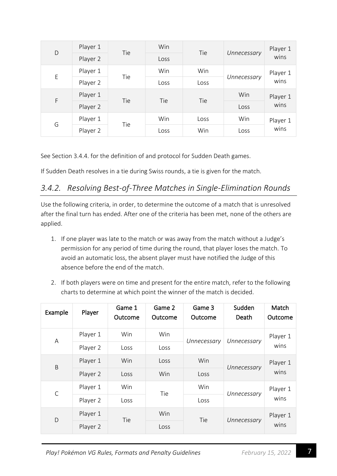| D | Player 1 | Tie | Win  | Tie  |             | Player 1 |
|---|----------|-----|------|------|-------------|----------|
|   | Player 2 |     | Loss |      | Unnecessary | wins     |
| E | Player 1 | Tie | Win  | Win  |             | Player 1 |
|   | Player 2 |     | Loss | Loss | Unnecessary | wins     |
| F | Player 1 |     |      | Tie  | Win         | Player 1 |
|   | Player 2 | Tie | Tie  |      | Loss        | wins     |
| G | Player 1 |     | Win  | Loss | Win         | Player 1 |
|   | Player 2 | Tie | Loss | Win  | Loss        | wins     |

See Section 3.4.4. for the definition of and protocol for Sudden Death games.

If Sudden Death resolves in a tie during Swiss rounds, a tie is given for the match.

#### <span id="page-12-0"></span>*3.4.2. Resolving Best-of-Three Matches in Single-Elimination Rounds*

Use the following criteria, in order, to determine the outcome of a match that is unresolved after the final turn has ended. After one of the criteria has been met, none of the others are applied.

- 1. If one player was late to the match or was away from the match without a Judge's permission for any period of time during the round, that player loses the match. To avoid an automatic loss, the absent player must have notified the Judge of this absence before the end of the match.
- 2. If both players were on time and present for the entire match, refer to the following charts to determine at which point the winner of the match is decided.

| Example      | Player   | Game 1<br>Outcome | Game 2<br>Outcome | Game 3<br>Outcome | Sudden<br>Death | Match<br>Outcome |
|--------------|----------|-------------------|-------------------|-------------------|-----------------|------------------|
| Α            | Player 1 | Win               | Win               | Unnecessary       | Unnecessary     | Player 1         |
|              | Player 2 | Loss              | Loss              |                   |                 | wins             |
| B            | Player 1 | Win               | Loss              | Win               | Unnecessary     | Player 1         |
|              | Player 2 | Loss              | Win<br>Loss       |                   |                 | wins             |
| $\mathsf{C}$ | Player 1 | Win               | Tie               | Win               | Unnecessary     | Player 1         |
|              | Player 2 | Loss              |                   | Loss              |                 | wins             |
| D            | Player 1 | Tie               | Win               | Tie               | Unnecessary     | Player 1         |
|              | Player 2 |                   | Loss              |                   |                 | wins             |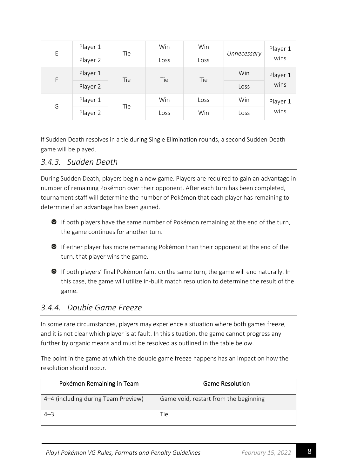| E | Player 1 | Tie | Win  | Win  | Unnecessary | Player 1 |
|---|----------|-----|------|------|-------------|----------|
|   | Player 2 |     | Loss | Loss |             | wins     |
| F | Player 1 | Tie | Tie  | Tie  | Win         | Player 1 |
|   | Player 2 |     |      |      | Loss        | wins     |
| G | Player 1 | Tie | Win  | Loss | Win         | Player 1 |
|   | Player 2 |     | Loss | Win  | Loss        | wins     |

If Sudden Death resolves in a tie during Single Elimination rounds, a second Sudden Death game will be played.

#### <span id="page-13-0"></span>*3.4.3. Sudden Death*

During Sudden Death, players begin a new game. Players are required to gain an advantage in number of remaining Pokémon over their opponent. After each turn has been completed, tournament staff will determine the number of Pokémon that each player has remaining to determine if an advantage has been gained.

- **If both players have the same number of Pokémon remaining at the end of the turn,** the game continues for another turn.
- **•** If either player has more remaining Pokémon than their opponent at the end of the turn, that player wins the game.
- If both players' final Pokémon faint on the same turn, the game will end naturally. In this case, the game will utilize in-built match resolution to determine the result of the game.

#### <span id="page-13-1"></span>*3.4.4. Double Game Freeze*

In some rare circumstances, players may experience a situation where both games freeze, and it is not clear which player is at fault. In this situation, the game cannot progress any further by organic means and must be resolved as outlined in the table below.

The point in the game at which the double game freeze happens has an impact on how the resolution should occur.

| Pokémon Remaining in Team           | <b>Game Resolution</b>                |
|-------------------------------------|---------------------------------------|
| 4–4 (including during Team Preview) | Game void, restart from the beginning |
| $4 - 3$                             | Tie                                   |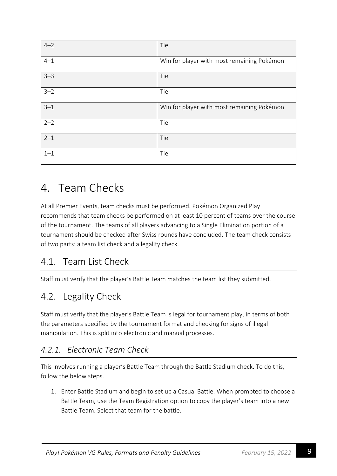| $4 - 2$ | Tie                                        |
|---------|--------------------------------------------|
| $4 - 1$ | Win for player with most remaining Pokémon |
| $3 - 3$ | Tie                                        |
| $3 - 2$ | Tie                                        |
| $3 - 1$ | Win for player with most remaining Pokémon |
| $2 - 2$ | Tie                                        |
| $2 - 1$ | Tie                                        |
| $1 - 1$ | Tie                                        |

# <span id="page-14-0"></span>4. Team Checks

At all Premier Events, team checks must be performed. Pokémon Organized Play recommends that team checks be performed on at least 10 percent of teams over the course of the tournament. The teams of all players advancing to a Single Elimination portion of a tournament should be checked after Swiss rounds have concluded. The team check consists of two parts: a team list check and a legality check.

# <span id="page-14-1"></span>4.1. Team List Check

Staff must verify that the player's Battle Team matches the team list they submitted.

# <span id="page-14-2"></span>4.2. Legality Check

Staff must verify that the player's Battle Team is legal for tournament play, in terms of both the parameters specified by the tournament format and checking for signs of illegal manipulation. This is split into electronic and manual processes.

### <span id="page-14-3"></span>*4.2.1. Electronic Team Check*

This involves running a player's Battle Team through the Battle Stadium check. To do this, follow the below steps.

1. Enter Battle Stadium and begin to set up a Casual Battle. When prompted to choose a Battle Team, use the Team Registration option to copy the player's team into a new Battle Team. Select that team for the battle.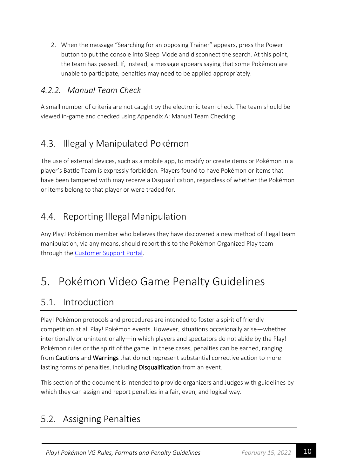2. When the message "Searching for an opposing Trainer" appears, press the Power button to put the console into Sleep Mode and disconnect the search. At this point, the team has passed. If, instead, a message appears saying that some Pokémon are unable to participate, penalties may need to be applied appropriately.

#### <span id="page-15-0"></span>*4.2.2. Manual Team Check*

A small number of criteria are not caught by the electronic team check. The team should be viewed in-game and checked using Appendix A: Manual Team Checking.

# <span id="page-15-1"></span>4.3. Illegally Manipulated Pokémon

The use of external devices, such as a mobile app, to modify or create items or Pokémon in a player's Battle Team is expressly forbidden. Players found to have Pokémon or items that have been tampered with may receive a Disqualification, regardless of whether the Pokémon or items belong to that player or were traded for.

# <span id="page-15-2"></span>4.4. Reporting Illegal Manipulation

Any Play! Pokémon member who believes they have discovered a new method of illegal team manipulation, via any means, should report this to the Pokémon Organized Play team through the **Customer Support Portal**.

# <span id="page-15-3"></span>5. Pokémon Video Game Penalty Guidelines

# <span id="page-15-4"></span>5.1. Introduction

Play! Pokémon protocols and procedures are intended to foster a spirit of friendly competition at all Play! Pokémon events. However, situations occasionally arise—whether intentionally or unintentionally—in which players and spectators do not abide by the Play! Pokémon rules or the spirit of the game. In these cases, penalties can be earned, ranging from Cautions and Warnings that do not represent substantial corrective action to more lasting forms of penalties, including Disqualification from an event.

This section of the document is intended to provide organizers and Judges with guidelines by which they can assign and report penalties in a fair, even, and logical way.

# <span id="page-15-5"></span>5.2. Assigning Penalties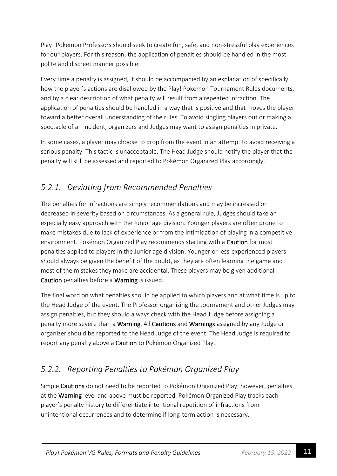Play! Pokémon Professors should seek to create fun, safe, and non-stressful play experiences for our players. For this reason, the application of penalties should be handled in the most polite and discreet manner possible.

Every time a penalty is assigned, it should be accompanied by an explanation of specifically how the player's actions are disallowed by the Play! Pokémon Tournament Rules documents, and by a clear description of what penalty will result from a repeated infraction. The application of penalties should be handled in a way that is positive and that moves the player toward a better overall understanding of the rules. To avoid singling players out or making a spectacle of an incident, organizers and Judges may want to assign penalties in private.

In some cases, a player may choose to drop from the event in an attempt to avoid receiving a serious penalty. This tactic is unacceptable. The Head Judge should notify the player that the penalty will still be assessed and reported to Pokémon Organized Play accordingly.

# <span id="page-16-0"></span>*5.2.1. Deviating from Recommended Penalties*

The penalties for infractions are simply recommendations and may be increased or decreased in severity based on circumstances. As a general rule, Judges should take an especially easy approach with the Junior age division. Younger players are often prone to make mistakes due to lack of experience or from the intimidation of playing in a competitive environment. Pokémon Organized Play recommends starting with a Caution for most penalties applied to players in the Junior age division. Younger or less-experienced players should always be given the benefit of the doubt, as they are often learning the game and most of the mistakes they make are accidental. These players may be given additional Caution penalties before a Warning is issued.

The final word on what penalties should be applied to which players and at what time is up to the Head Judge of the event. The Professor organizing the tournament and other Judges may assign penalties, but they should always check with the Head Judge before assigning a penalty more severe than a Warning. All Cautions and Warnings assigned by any Judge or organizer should be reported to the Head Judge of the event. The Head Judge is required to report any penalty above a **Caution** to Pokémon Organized Play.

# <span id="page-16-1"></span>*5.2.2. Reporting Penalties to Pokémon Organized Play*

Simple Cautions do not need to be reported to Pokémon Organized Play; however, penalties at the Warning level and above must be reported. Pokémon Organized Play tracks each player's penalty history to differentiate intentional repetition of infractions from unintentional occurrences and to determine if long-term action is necessary.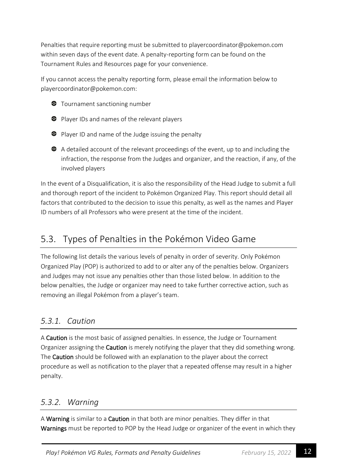Penalties that require reporting must be submitted to playercoordinator@pokemon.com within seven days of the event date. A penalty-reporting form can be found on the Tournament Rules and Resources page for your convenience.

If you cannot access the penalty reporting form, please email the information below to playercoordinator@pokemon.com:

- **Tournament sanctioning number**
- **•** Player IDs and names of the relevant players
- Player ID and name of the Judge issuing the penalty
- A detailed account of the relevant proceedings of the event, up to and including the infraction, the response from the Judges and organizer, and the reaction, if any, of the involved players

In the event of a Disqualification, it is also the responsibility of the Head Judge to submit a full and thorough report of the incident to Pokémon Organized Play. This report should detail all factors that contributed to the decision to issue this penalty, as well as the names and Player ID numbers of all Professors who were present at the time of the incident.

# <span id="page-17-0"></span>5.3. Types of Penalties in the Pokémon Video Game

The following list details the various levels of penalty in order of severity. Only Pokémon Organized Play (POP) is authorized to add to or alter any of the penalties below. Organizers and Judges may not issue any penalties other than those listed below. In addition to the below penalties, the Judge or organizer may need to take further corrective action, such as removing an illegal Pokémon from a player's team.

### <span id="page-17-1"></span>*5.3.1. Caution*

A Caution is the most basic of assigned penalties. In essence, the Judge or Tournament Organizer assigning the Caution is merely notifying the player that they did something wrong. The Caution should be followed with an explanation to the player about the correct procedure as well as notification to the player that a repeated offense may result in a higher penalty.

#### <span id="page-17-2"></span>*5.3.2. Warning*

A Warning is similar to a Caution in that both are minor penalties. They differ in that Warnings must be reported to POP by the Head Judge or organizer of the event in which they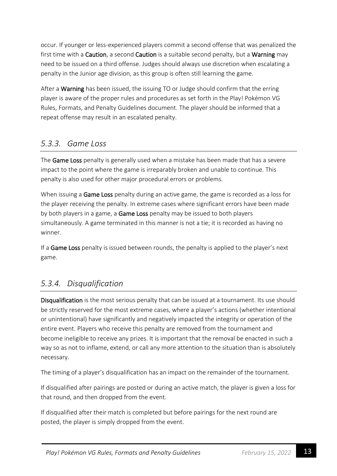occur. If younger or less-experienced players commit a second offense that was penalized the first time with a Caution, a second Caution is a suitable second penalty, but a Warning may need to be issued on a third offense. Judges should always use discretion when escalating a penalty in the Junior age division, as this group is often still learning the game.

After a **Warning** has been issued, the issuing TO or Judge should confirm that the erring player is aware of the proper rules and procedures as set forth in the Play! Pokémon VG Rules, Formats, and Penalty Guidelines document. The player should be informed that a repeat offense may result in an escalated penalty.

#### <span id="page-18-0"></span>*5.3.3. Game Loss*

The Game Loss penalty is generally used when a mistake has been made that has a severe impact to the point where the game is irreparably broken and unable to continue. This penalty is also used for other major procedural errors or problems.

When issuing a Game Loss penalty during an active game, the game is recorded as a loss for the player receiving the penalty. In extreme cases where significant errors have been made by both players in a game, a **Game Loss** penalty may be issued to both players simultaneously. A game terminated in this manner is not a tie; it is recorded as having no winner.

If a Game Loss penalty is issued between rounds, the penalty is applied to the player's next game.

#### <span id="page-18-1"></span>*5.3.4. Disqualification*

Disqualification is the most serious penalty that can be issued at a tournament. Its use should be strictly reserved for the most extreme cases, where a player's actions (whether intentional or unintentional) have significantly and negatively impacted the integrity or operation of the entire event. Players who receive this penalty are removed from the tournament and become ineligible to receive any prizes. It is important that the removal be enacted in such a way so as not to inflame, extend, or call any more attention to the situation than is absolutely necessary.

The timing of a player's disqualification has an impact on the remainder of the tournament.

If disqualified after pairings are posted or during an active match, the player is given a loss for that round, and then dropped from the event.

If disqualified after their match is completed but before pairings for the next round are posted, the player is simply dropped from the event.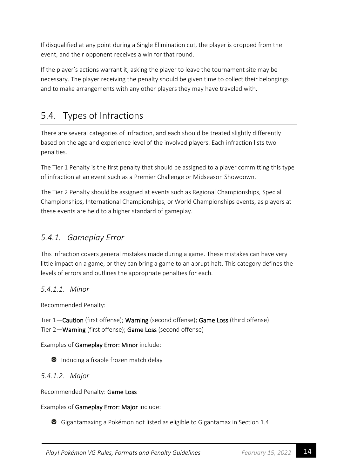If disqualified at any point during a Single Elimination cut, the player is dropped from the event, and their opponent receives a win for that round.

If the player's actions warrant it, asking the player to leave the tournament site may be necessary. The player receiving the penalty should be given time to collect their belongings and to make arrangements with any other players they may have traveled with.

# <span id="page-19-0"></span>5.4. Types of Infractions

There are several categories of infraction, and each should be treated slightly differently based on the age and experience level of the involved players. Each infraction lists two penalties.

The Tier 1 Penalty is the first penalty that should be assigned to a player committing this type of infraction at an event such as a Premier Challenge or Midseason Showdown.

The Tier 2 Penalty should be assigned at events such as Regional Championships, Special Championships, International Championships, or World Championships events, as players at these events are held to a higher standard of gameplay.

#### <span id="page-19-1"></span>*5.4.1. Gameplay Error*

This infraction covers general mistakes made during a game. These mistakes can have very little impact on a game, or they can bring a game to an abrupt halt. This category defines the levels of errors and outlines the appropriate penalties for each.

#### <span id="page-19-2"></span>*5.4.1.1. Minor*

Recommended Penalty:

Tier 1—Caution (first offense); Warning (second offense); Game Loss (third offense) Tier 2—Warning (first offense); Game Loss (second offense)

Examples of Gameplay Error: Minor include:

**•** Inducing a fixable frozen match delay

#### <span id="page-19-3"></span>*5.4.1.2. Major*

Recommended Penalty: Game Loss

Examples of Gameplay Error: Major include:

Gigantamaxing a Pokémon not listed as eligible to Gigantamax in Section 1.4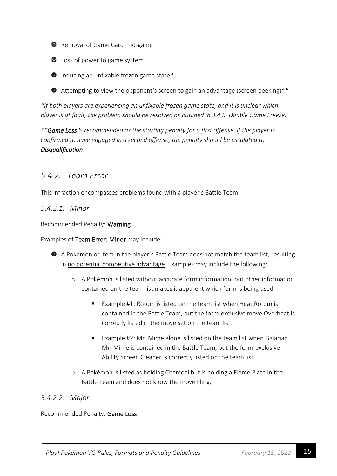- **•** Removal of Game Card mid-game
- **C** Loss of power to game system
- $\bullet$  Inducing an unfixable frozen game state\*
- Attempting to view the opponent's screen to gain an advantage (screen peeking)\*\*

*\*If both players are experiencing an unfixable frozen game state, and it is unclear which player is at fault, the problem should be resolved as outlined in 3.4.5. Double Game Freeze.*

*\*\*Game Loss is recommended as the starting penalty for a first offense. If the player is confirmed to have engaged in a second offense, the penalty should be escalated to Disqualification.*

#### <span id="page-20-0"></span>*5.4.2. Team Error*

This infraction encompasses problems found with a player's Battle Team.

#### <span id="page-20-1"></span>*5.4.2.1. Minor*

Recommended Penalty: Warning

Examples of Team Error: Minor may include:

- A Pokémon or item in the player's Battle Team does not match the team list, resulting in no potential competitive advantage. Examples may include the following:
	- o A Pokémon is listed without accurate form information, but other information contained on the team list makes it apparent which form is being used.
		- Example #1: Rotom is listed on the team list when Heat Rotom is contained in the Battle Team, but the form-exclusive move Overheat is correctly listed in the move set on the team list.
		- Example #2: Mr. Mime alone is listed on the team list when Galarian Mr. Mime is contained in the Battle Team, but the form-exclusive Ability Screen Cleaner is correctly listed on the team list.
	- o A Pokémon is listed as holding Charcoal but is holding a Flame Plate in the Battle Team and does not know the move Fling.

#### <span id="page-20-2"></span>*5.4.2.2. Major*

Recommended Penalty: Game Loss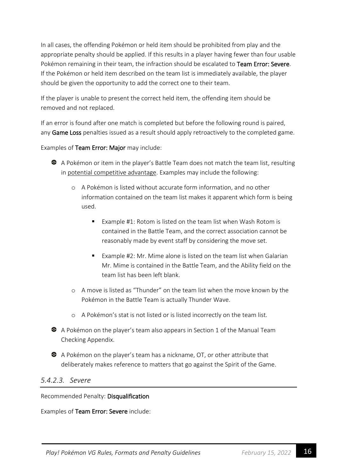In all cases, the offending Pokémon or held item should be prohibited from play and the appropriate penalty should be applied. If this results in a player having fewer than four usable Pokémon remaining in their team, the infraction should be escalated to Team Error: Severe. If the Pokémon or held item described on the team list is immediately available, the player should be given the opportunity to add the correct one to their team.

If the player is unable to present the correct held item, the offending item should be removed and not replaced.

If an error is found after one match is completed but before the following round is paired, any Game Loss penalties issued as a result should apply retroactively to the completed game.

Examples of Team Error: Major may include:

- A Pokémon or item in the player's Battle Team does not match the team list, resulting in potential competitive advantage. Examples may include the following:
	- o A Pokémon is listed without accurate form information, and no other information contained on the team list makes it apparent which form is being used.
		- Example #1: Rotom is listed on the team list when Wash Rotom is contained in the Battle Team, and the correct association cannot be reasonably made by event staff by considering the move set.
		- Example #2: Mr. Mime alone is listed on the team list when Galarian Mr. Mime is contained in the Battle Team, and the Ability field on the team list has been left blank.
	- o A move is listed as "Thunder" on the team list when the move known by the Pokémon in the Battle Team is actually Thunder Wave.
	- o A Pokémon's stat is not listed or is listed incorrectly on the team list.
- A Pokémon on the player's team also appears in Section 1 of the Manual Team Checking Appendix.
- A Pokémon on the player's team has a nickname, OT, or other attribute that deliberately makes reference to matters that go against the Spirit of the Game.

#### <span id="page-21-0"></span>*5.4.2.3. Severe*

Recommended Penalty: Disqualification

Examples of Team Error: Severe include: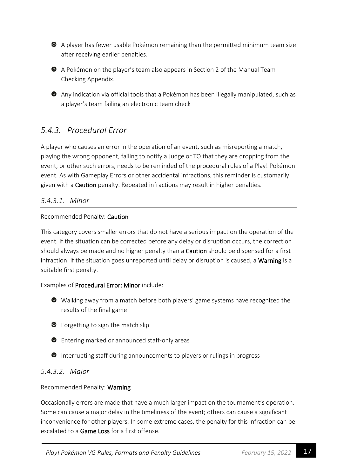A player has fewer usable Pokémon remaining than the permitted minimum team size after receiving earlier penalties.



A Pokémon on the player's team also appears in Section 2 of the Manual Team Checking Appendix.

Any indication via official tools that a Pokémon has been illegally manipulated, such as a player's team failing an electronic team check

#### <span id="page-22-0"></span>*5.4.3. Procedural Error*

A player who causes an error in the operation of an event, such as misreporting a match, playing the wrong opponent, failing to notify a Judge or TO that they are dropping from the event, or other such errors, needs to be reminded of the procedural rules of a Play! Pokémon event. As with Gameplay Errors or other accidental infractions, this reminder is customarily given with a Caution penalty. Repeated infractions may result in higher penalties.

#### <span id="page-22-1"></span>*5.4.3.1. Minor*

#### Recommended Penalty: Caution

This category covers smaller errors that do not have a serious impact on the operation of the event. If the situation can be corrected before any delay or disruption occurs, the correction should always be made and no higher penalty than a Caution should be dispensed for a first infraction. If the situation goes unreported until delay or disruption is caused, a Warning is a suitable first penalty.

#### Examples of Procedural Error: Minor include:

- Walking away from a match before both players' game systems have recognized the results of the final game
- Forgetting to sign the match slip
- **C** Entering marked or announced staff-only areas
- **•** Interrupting staff during announcements to players or rulings in progress

#### <span id="page-22-2"></span>*5.4.3.2. Major*

#### Recommended Penalty: Warning

Occasionally errors are made that have a much larger impact on the tournament's operation. Some can cause a major delay in the timeliness of the event; others can cause a significant inconvenience for other players. In some extreme cases, the penalty for this infraction can be escalated to a **Game Loss** for a first offense.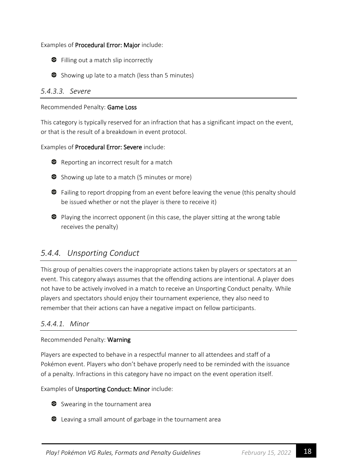#### Examples of Procedural Error: Major include:



Showing up late to a match (less than 5 minutes)

#### <span id="page-23-0"></span>*5.4.3.3. Severe*

#### Recommended Penalty: Game Loss

This category is typically reserved for an infraction that has a significant impact on the event, or that is the result of a breakdown in event protocol.

#### Examples of Procedural Error: Severe include:



- Showing up late to a match (5 minutes or more)
- **•** Failing to report dropping from an event before leaving the venue (this penalty should be issued whether or not the player is there to receive it)
- Playing the incorrect opponent (in this case, the player sitting at the wrong table receives the penalty)

#### <span id="page-23-1"></span>*5.4.4. Unsporting Conduct*

This group of penalties covers the inappropriate actions taken by players or spectators at an event. This category always assumes that the offending actions are intentional. A player does not have to be actively involved in a match to receive an Unsporting Conduct penalty. While players and spectators should enjoy their tournament experience, they also need to remember that their actions can have a negative impact on fellow participants.

#### <span id="page-23-2"></span>*5.4.4.1. Minor*

#### Recommended Penalty: Warning

Players are expected to behave in a respectful manner to all attendees and staff of a Pokémon event. Players who don't behave properly need to be reminded with the issuance of a penalty. Infractions in this category have no impact on the event operation itself.

Examples of Unsporting Conduct: Minor include:



**•** Leaving a small amount of garbage in the tournament area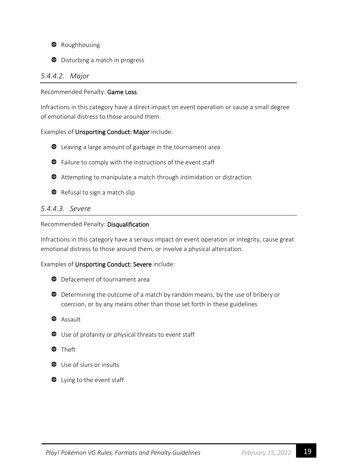

 $\bullet$  Disturbing a match in progress

#### <span id="page-24-0"></span>*5.4.4.2. Major*

#### Recommended Penalty: Game Loss

Infractions in this category have a direct impact on event operation or cause a small degree of emotional distress to those around them.

#### Examples of Unsporting Conduct: Major include:

- Leaving a large amount of garbage in the tournament area
- **•** Failure to comply with the instructions of the event staff
- Attempting to manipulate a match through intimidation or distraction
- Refusal to sign a match slip

#### <span id="page-24-1"></span>*5.4.4.3. Severe*

#### Recommended Penalty: Disqualification

Infractions in this category have a serious impact on event operation or integrity, cause great emotional distress to those around them, or involve a physical altercation.

Examples of Unsporting Conduct: Severe include:

- **C** Defacement of tournament area
- Determining the outcome of a match by random means, by the use of bribery or coercion, or by any means other than those set forth in these guidelines
- <sup>3</sup> Assault
- Use of profanity or physical threats to event staff
- <sup>O</sup>Theft
- Use of slurs or insults
- $\bullet$  Lying to the event staff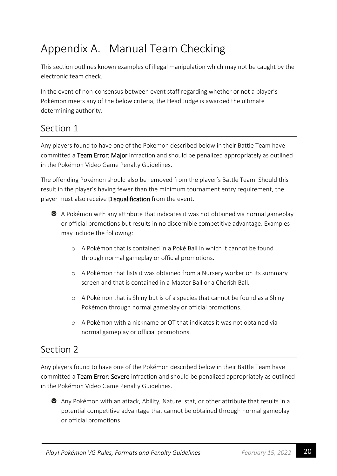# <span id="page-25-0"></span>Appendix A. Manual Team Checking

This section outlines known examples of illegal manipulation which may not be caught by the electronic team check.

In the event of non-consensus between event staff regarding whether or not a player's Pokémon meets any of the below criteria, the Head Judge is awarded the ultimate determining authority.

# <span id="page-25-1"></span>Section 1

Any players found to have one of the Pokémon described below in their Battle Team have committed a Team Error: Major infraction and should be penalized appropriately as outlined in the Pokémon Video Game Penalty Guidelines.

The offending Pokémon should also be removed from the player's Battle Team. Should this result in the player's having fewer than the minimum tournament entry requirement, the player must also receive Disqualification from the event.



A Pokémon with any attribute that indicates it was not obtained via normal gameplay or official promotions but results in no discernible competitive advantage. Examples may include the following:

- o A Pokémon that is contained in a Poké Ball in which it cannot be found through normal gameplay or official promotions.
- o A Pokémon that lists it was obtained from a Nursery worker on its summary screen and that is contained in a Master Ball or a Cherish Ball.
- o A Pokémon that is Shiny but is of a species that cannot be found as a Shiny Pokémon through normal gameplay or official promotions.
- o A Pokémon with a nickname or OT that indicates it was not obtained via normal gameplay or official promotions.

# <span id="page-25-2"></span>Section 2

Any players found to have one of the Pokémon described below in their Battle Team have committed a Team Error: Severe infraction and should be penalized appropriately as outlined in the Pokémon Video Game Penalty Guidelines.

Any Pokémon with an attack, Ability, Nature, stat, or other attribute that results in a potential competitive advantage that cannot be obtained through normal gameplay or official promotions.